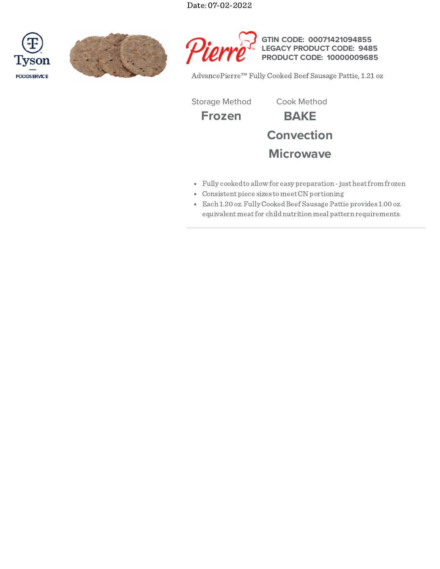Date: 07-02-2022







AdvancePierre™ Fully Cooked Beef Sausage Pattie, 1.21 oz

**Frozen BAKE Convection Microwave** Storage Method Cook Method

- Fully cooked to allow for easy preparation just heat from frozen
- Consistent piece sizes tomeetCN portioning
- Each 1.20 oz.FullyCookedBeef Sausage Pattie provides 1.00 oz. equivalent meatfor childnutrition meal pattern requirements.